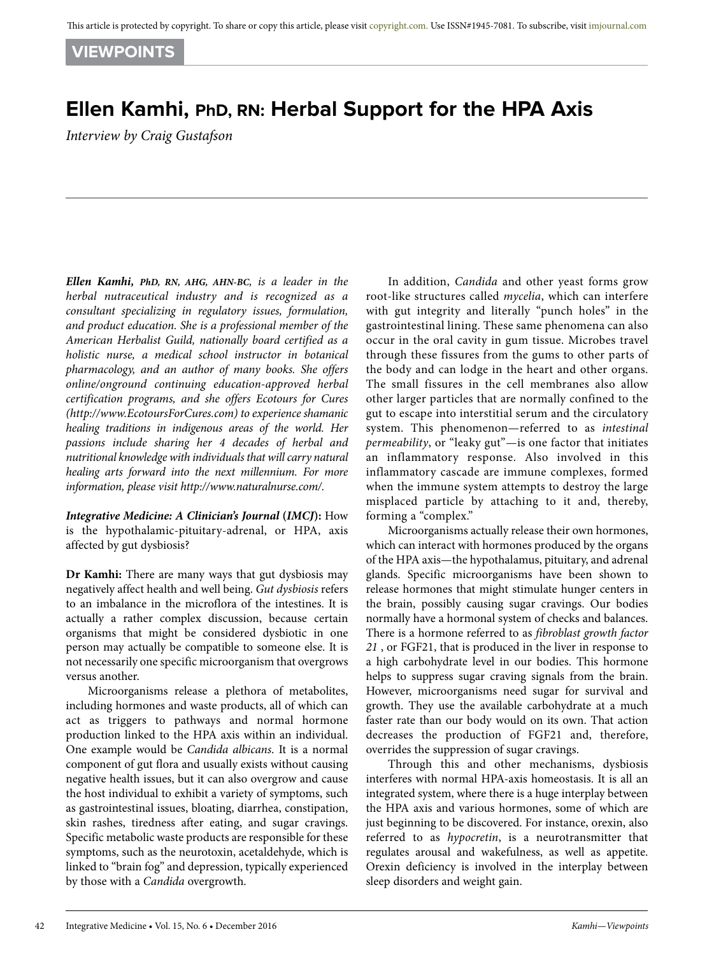**VIEWPOINTS**

## **Ellen Kamhi, PhD, RN: Herbal Support for the HPA Axis**

*Interview by Craig Gustafson*

*Ellen Kamhi, PhD, RN, AHG, AHN-BC, is a leader in the herbal nutraceutical industry and is recognized as a consultant specializing in regulatory issues, formulation, and product education. She is a professional member of the American Herbalist Guild, nationally board certified as a holistic nurse, a medical school instructor in botanical pharmacology, and an author of many books. She offers online/onground continuing education-approved herbal certification programs, and she offers Ecotours for Cures (http://www.EcotoursForCures.com) to experience shamanic healing traditions in indigenous areas of the world. Her passions include sharing her 4 decades of herbal and nutritional knowledge with individuals that will carry natural healing arts forward into the next millennium. For more information, please visit http://www.naturalnurse.com/.* 

*Integrative Medicine: A Clinician's Journal* **(***IMCJ***):** How is the hypothalamic-pituitary-adrenal, or HPA, axis affected by gut dysbiosis?

**Dr Kamhi:** There are many ways that gut dysbiosis may negatively affect health and well being. *Gut dysbiosis* refers to an imbalance in the microflora of the intestines. It is actually a rather complex discussion, because certain organisms that might be considered dysbiotic in one person may actually be compatible to someone else. It is not necessarily one specific microorganism that overgrows versus another.

Microorganisms release a plethora of metabolites, including hormones and waste products, all of which can act as triggers to pathways and normal hormone production linked to the HPA axis within an individual. One example would be *Candida albicans*. It is a normal component of gut flora and usually exists without causing negative health issues, but it can also overgrow and cause the host individual to exhibit a variety of symptoms, such as gastrointestinal issues, bloating, diarrhea, constipation, skin rashes, tiredness after eating, and sugar cravings. Specific metabolic waste products are responsible for these symptoms, such as the neurotoxin, acetaldehyde, which is linked to "brain fog" and depression, typically experienced by those with a *Candida* overgrowth.

In addition, *Candida* and other yeast forms grow root-like structures called *mycelia*, which can interfere with gut integrity and literally "punch holes" in the gastrointestinal lining. These same phenomena can also occur in the oral cavity in gum tissue. Microbes travel through these fissures from the gums to other parts of the body and can lodge in the heart and other organs. The small fissures in the cell membranes also allow other larger particles that are normally confined to the gut to escape into interstitial serum and the circulatory system. This phenomenon—referred to as *intestinal permeability*, or "leaky gut"—is one factor that initiates an inflammatory response. Also involved in this inflammatory cascade are immune complexes, formed when the immune system attempts to destroy the large misplaced particle by attaching to it and, thereby, forming a "complex."

Microorganisms actually release their own hormones, which can interact with hormones produced by the organs of the HPA axis—the hypothalamus, pituitary, and adrenal glands. Specific microorganisms have been shown to release hormones that might stimulate hunger centers in the brain, possibly causing sugar cravings. Our bodies normally have a hormonal system of checks and balances. There is a hormone referred to as *fibroblast growth factor 21* , or FGF21, that is produced in the liver in response to a high carbohydrate level in our bodies. This hormone helps to suppress sugar craving signals from the brain. However, microorganisms need sugar for survival and growth. They use the available carbohydrate at a much faster rate than our body would on its own. That action decreases the production of FGF21 and, therefore, overrides the suppression of sugar cravings.

Through this and other mechanisms, dysbiosis interferes with normal HPA-axis homeostasis. It is all an integrated system, where there is a huge interplay between the HPA axis and various hormones, some of which are just beginning to be discovered. For instance, orexin, also referred to as *hypocretin*, is a neurotransmitter that regulates arousal and wakefulness, as well as appetite. Orexin deficiency is involved in the interplay between sleep disorders and weight gain.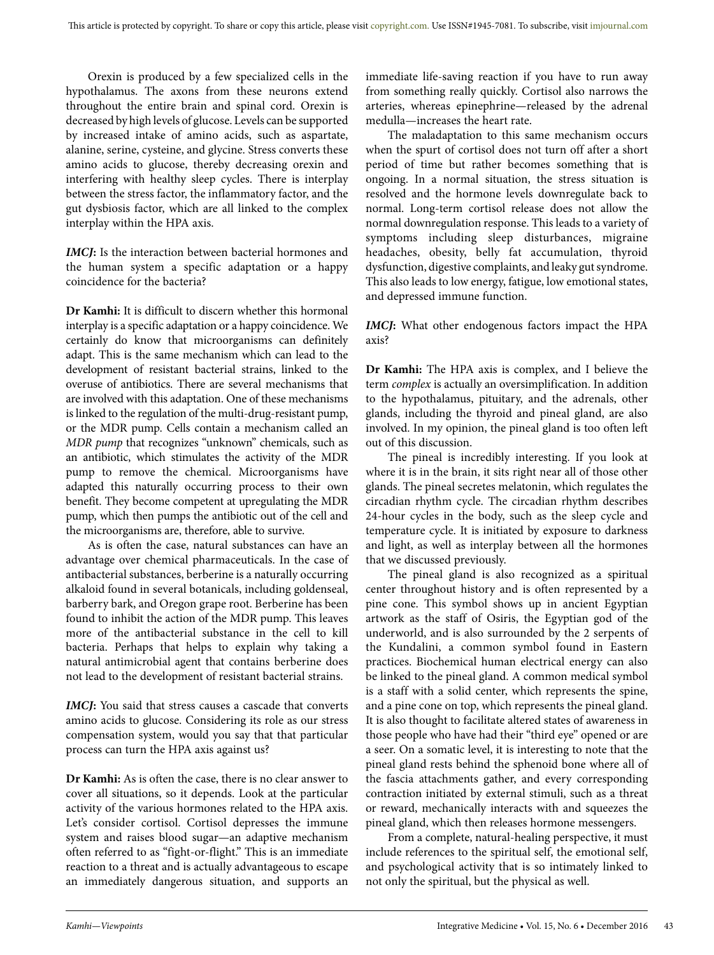Orexin is produced by a few specialized cells in the hypothalamus. The axons from these neurons extend throughout the entire brain and spinal cord. Orexin is decreased by high levels of glucose. Levels can be supported by increased intake of amino acids, such as aspartate, alanine, serine, cysteine, and glycine. Stress converts these amino acids to glucose, thereby decreasing orexin and interfering with healthy sleep cycles. There is interplay between the stress factor, the inflammatory factor, and the gut dysbiosis factor, which are all linked to the complex interplay within the HPA axis.

*IMCJ***:** Is the interaction between bacterial hormones and the human system a specific adaptation or a happy coincidence for the bacteria?

**Dr Kamhi:** It is difficult to discern whether this hormonal interplay is a specific adaptation or a happy coincidence. We certainly do know that microorganisms can definitely adapt. This is the same mechanism which can lead to the development of resistant bacterial strains, linked to the overuse of antibiotics. There are several mechanisms that are involved with this adaptation. One of these mechanisms is linked to the regulation of the multi-drug-resistant pump, or the MDR pump. Cells contain a mechanism called an *MDR pump* that recognizes "unknown" chemicals, such as an antibiotic, which stimulates the activity of the MDR pump to remove the chemical. Microorganisms have adapted this naturally occurring process to their own benefit. They become competent at upregulating the MDR pump, which then pumps the antibiotic out of the cell and the microorganisms are, therefore, able to survive.

As is often the case, natural substances can have an advantage over chemical pharmaceuticals. In the case of antibacterial substances, berberine is a naturally occurring alkaloid found in several botanicals, including goldenseal, barberry bark, and Oregon grape root. Berberine has been found to inhibit the action of the MDR pump. This leaves more of the antibacterial substance in the cell to kill bacteria. Perhaps that helps to explain why taking a natural antimicrobial agent that contains berberine does not lead to the development of resistant bacterial strains.

*IMCJ***:** You said that stress causes a cascade that converts amino acids to glucose. Considering its role as our stress compensation system, would you say that that particular process can turn the HPA axis against us?

**Dr Kamhi:** As is often the case, there is no clear answer to cover all situations, so it depends. Look at the particular activity of the various hormones related to the HPA axis. Let's consider cortisol. Cortisol depresses the immune system and raises blood sugar—an adaptive mechanism often referred to as "fight-or-flight." This is an immediate reaction to a threat and is actually advantageous to escape an immediately dangerous situation, and supports an

immediate life-saving reaction if you have to run away from something really quickly. Cortisol also narrows the arteries, whereas epinephrine—released by the adrenal medulla—increases the heart rate.

The maladaptation to this same mechanism occurs when the spurt of cortisol does not turn off after a short period of time but rather becomes something that is ongoing. In a normal situation, the stress situation is resolved and the hormone levels downregulate back to normal. Long-term cortisol release does not allow the normal downregulation response. This leads to a variety of symptoms including sleep disturbances, migraine headaches, obesity, belly fat accumulation, thyroid dysfunction, digestive complaints, and leaky gut syndrome. This also leads to low energy, fatigue, low emotional states, and depressed immune function.

*IMCJ***:** What other endogenous factors impact the HPA axis?

**Dr Kamhi:** The HPA axis is complex, and I believe the term *complex* is actually an oversimplification. In addition to the hypothalamus, pituitary, and the adrenals, other glands, including the thyroid and pineal gland, are also involved. In my opinion, the pineal gland is too often left out of this discussion.

The pineal is incredibly interesting. If you look at where it is in the brain, it sits right near all of those other glands. The pineal secretes melatonin, which regulates the circadian rhythm cycle. The circadian rhythm describes 24-hour cycles in the body, such as the sleep cycle and temperature cycle. It is initiated by exposure to darkness and light, as well as interplay between all the hormones that we discussed previously.

The pineal gland is also recognized as a spiritual center throughout history and is often represented by a pine cone. This symbol shows up in ancient Egyptian artwork as the staff of Osiris, the Egyptian god of the underworld, and is also surrounded by the 2 serpents of the Kundalini, a common symbol found in Eastern practices. Biochemical human electrical energy can also be linked to the pineal gland. A common medical symbol is a staff with a solid center, which represents the spine, and a pine cone on top, which represents the pineal gland. It is also thought to facilitate altered states of awareness in those people who have had their "third eye" opened or are a seer. On a somatic level, it is interesting to note that the pineal gland rests behind the sphenoid bone where all of the fascia attachments gather, and every corresponding contraction initiated by external stimuli, such as a threat or reward, mechanically interacts with and squeezes the pineal gland, which then releases hormone messengers.

From a complete, natural-healing perspective, it must include references to the spiritual self, the emotional self, and psychological activity that is so intimately linked to not only the spiritual, but the physical as well.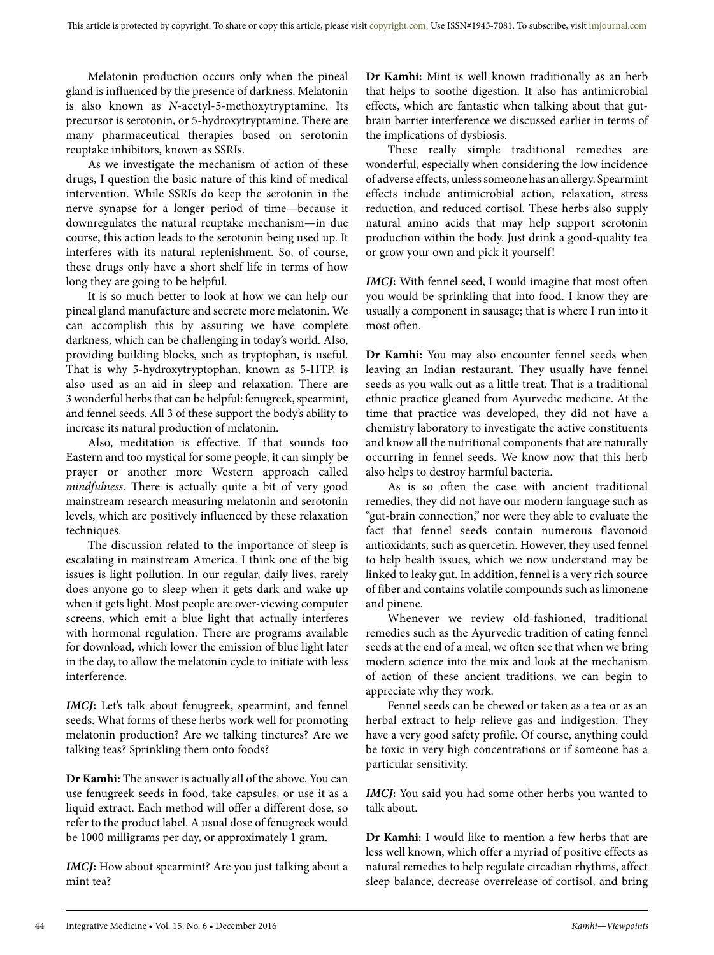Melatonin production occurs only when the pineal gland is influenced by the presence of darkness. Melatonin is also known as *N*-acetyl-5-methoxytryptamine. Its precursor is serotonin, or 5-hydroxytryptamine. There are many pharmaceutical therapies based on serotonin reuptake inhibitors, known as SSRIs.

As we investigate the mechanism of action of these drugs, I question the basic nature of this kind of medical intervention. While SSRIs do keep the serotonin in the nerve synapse for a longer period of time—because it downregulates the natural reuptake mechanism—in due course, this action leads to the serotonin being used up. It interferes with its natural replenishment. So, of course, these drugs only have a short shelf life in terms of how long they are going to be helpful.

It is so much better to look at how we can help our pineal gland manufacture and secrete more melatonin. We can accomplish this by assuring we have complete darkness, which can be challenging in today's world. Also, providing building blocks, such as tryptophan, is useful. That is why 5-hydroxytryptophan, known as 5-HTP, is also used as an aid in sleep and relaxation. There are 3 wonderful herbs that can be helpful: fenugreek, spearmint, and fennel seeds. All 3 of these support the body's ability to increase its natural production of melatonin.

Also, meditation is effective. If that sounds too Eastern and too mystical for some people, it can simply be prayer or another more Western approach called *mindfulness*. There is actually quite a bit of very good mainstream research measuring melatonin and serotonin levels, which are positively influenced by these relaxation techniques.

The discussion related to the importance of sleep is escalating in mainstream America. I think one of the big issues is light pollution. In our regular, daily lives, rarely does anyone go to sleep when it gets dark and wake up when it gets light. Most people are over-viewing computer screens, which emit a blue light that actually interferes with hormonal regulation. There are programs available for download, which lower the emission of blue light later in the day, to allow the melatonin cycle to initiate with less interference.

*IMCJ***:** Let's talk about fenugreek, spearmint, and fennel seeds. What forms of these herbs work well for promoting melatonin production? Are we talking tinctures? Are we talking teas? Sprinkling them onto foods?

**Dr Kamhi:** The answer is actually all of the above. You can use fenugreek seeds in food, take capsules, or use it as a liquid extract. Each method will offer a different dose, so refer to the product label. A usual dose of fenugreek would be 1000 milligrams per day, or approximately 1 gram.

*IMCJ***:** How about spearmint? Are you just talking about a mint tea?

**Dr Kamhi:** Mint is well known traditionally as an herb that helps to soothe digestion. It also has antimicrobial effects, which are fantastic when talking about that gutbrain barrier interference we discussed earlier in terms of the implications of dysbiosis.

These really simple traditional remedies are wonderful, especially when considering the low incidence of adverse effects, unless someone has an allergy. Spearmint effects include antimicrobial action, relaxation, stress reduction, and reduced cortisol. These herbs also supply natural amino acids that may help support serotonin production within the body. Just drink a good-quality tea or grow your own and pick it yourself!

*IMCJ***:** With fennel seed, I would imagine that most often you would be sprinkling that into food. I know they are usually a component in sausage; that is where I run into it most often.

**Dr Kamhi:** You may also encounter fennel seeds when leaving an Indian restaurant. They usually have fennel seeds as you walk out as a little treat. That is a traditional ethnic practice gleaned from Ayurvedic medicine. At the time that practice was developed, they did not have a chemistry laboratory to investigate the active constituents and know all the nutritional components that are naturally occurring in fennel seeds. We know now that this herb also helps to destroy harmful bacteria.

As is so often the case with ancient traditional remedies, they did not have our modern language such as "gut-brain connection," nor were they able to evaluate the fact that fennel seeds contain numerous flavonoid antioxidants, such as quercetin. However, they used fennel to help health issues, which we now understand may be linked to leaky gut. In addition, fennel is a very rich source of fiber and contains volatile compounds such as limonene and pinene.

Whenever we review old-fashioned, traditional remedies such as the Ayurvedic tradition of eating fennel seeds at the end of a meal, we often see that when we bring modern science into the mix and look at the mechanism of action of these ancient traditions, we can begin to appreciate why they work.

Fennel seeds can be chewed or taken as a tea or as an herbal extract to help relieve gas and indigestion. They have a very good safety profile. Of course, anything could be toxic in very high concentrations or if someone has a particular sensitivity.

*IMCJ***:** You said you had some other herbs you wanted to talk about.

**Dr Kamhi:** I would like to mention a few herbs that are less well known, which offer a myriad of positive effects as natural remedies to help regulate circadian rhythms, affect sleep balance, decrease overrelease of cortisol, and bring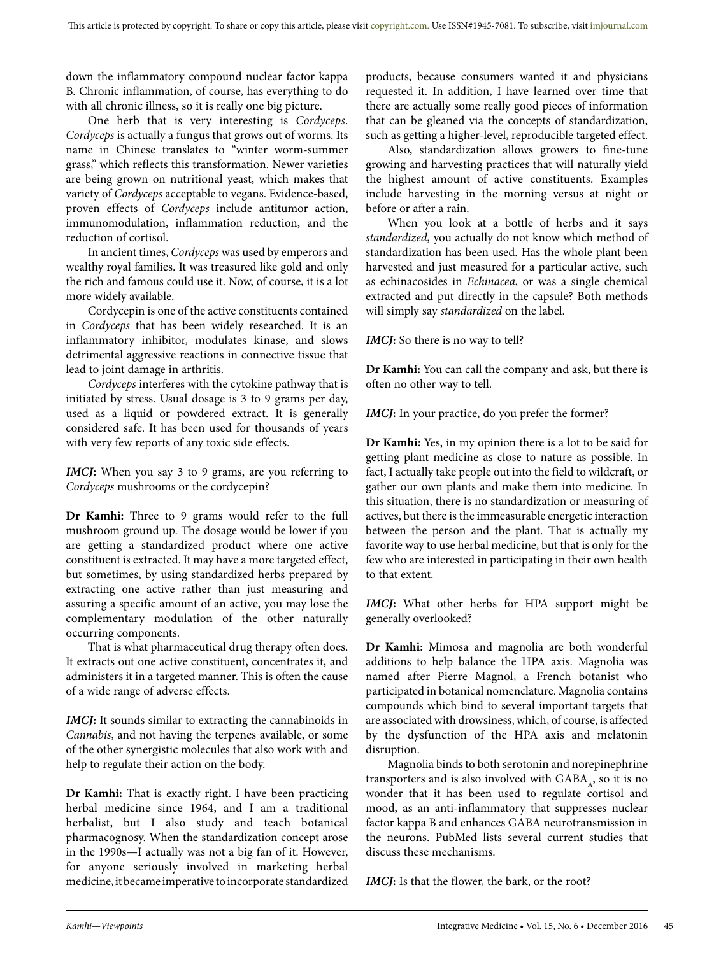down the inflammatory compound nuclear factor kappa B. Chronic inflammation, of course, has everything to do with all chronic illness, so it is really one big picture.

One herb that is very interesting is *Cordyceps*. *Cordyceps* is actually a fungus that grows out of worms. Its name in Chinese translates to "winter worm-summer grass," which reflects this transformation. Newer varieties are being grown on nutritional yeast, which makes that variety of *Cordyceps* acceptable to vegans. Evidence-based, proven effects of *Cordyceps* include antitumor action, immunomodulation, inflammation reduction, and the reduction of cortisol.

In ancient times, *Cordyceps* was used by emperors and wealthy royal families. It was treasured like gold and only the rich and famous could use it. Now, of course, it is a lot more widely available.

Cordycepin is one of the active constituents contained in *Cordyceps* that has been widely researched. It is an inflammatory inhibitor, modulates kinase, and slows detrimental aggressive reactions in connective tissue that lead to joint damage in arthritis.

*Cordyceps* interferes with the cytokine pathway that is initiated by stress. Usual dosage is 3 to 9 grams per day, used as a liquid or powdered extract. It is generally considered safe. It has been used for thousands of years with very few reports of any toxic side effects.

*IMCJ***:** When you say 3 to 9 grams, are you referring to *Cordyceps* mushrooms or the cordycepin?

**Dr Kamhi:** Three to 9 grams would refer to the full mushroom ground up. The dosage would be lower if you are getting a standardized product where one active constituent is extracted. It may have a more targeted effect, but sometimes, by using standardized herbs prepared by extracting one active rather than just measuring and assuring a specific amount of an active, you may lose the complementary modulation of the other naturally occurring components.

That is what pharmaceutical drug therapy often does. It extracts out one active constituent, concentrates it, and administers it in a targeted manner. This is often the cause of a wide range of adverse effects.

*IMCJ***:** It sounds similar to extracting the cannabinoids in *Cannabis*, and not having the terpenes available, or some of the other synergistic molecules that also work with and help to regulate their action on the body.

**Dr Kamhi:** That is exactly right. I have been practicing herbal medicine since 1964, and I am a traditional herbalist, but I also study and teach botanical pharmacognosy. When the standardization concept arose in the 1990s—I actually was not a big fan of it. However, for anyone seriously involved in marketing herbal medicine, it became imperative to incorporate standardized products, because consumers wanted it and physicians requested it. In addition, I have learned over time that there are actually some really good pieces of information that can be gleaned via the concepts of standardization, such as getting a higher-level, reproducible targeted effect.

Also, standardization allows growers to fine-tune growing and harvesting practices that will naturally yield the highest amount of active constituents. Examples include harvesting in the morning versus at night or before or after a rain.

When you look at a bottle of herbs and it says *standardized*, you actually do not know which method of standardization has been used. Has the whole plant been harvested and just measured for a particular active, such as echinacosides in *Echinacea*, or was a single chemical extracted and put directly in the capsule? Both methods will simply say *standardized* on the label.

*IMCJ*: So there is no way to tell?

**Dr Kamhi:** You can call the company and ask, but there is often no other way to tell.

*IMCJ*: In your practice, do you prefer the former?

**Dr Kamhi:** Yes, in my opinion there is a lot to be said for getting plant medicine as close to nature as possible. In fact, I actually take people out into the field to wildcraft, or gather our own plants and make them into medicine. In this situation, there is no standardization or measuring of actives, but there is the immeasurable energetic interaction between the person and the plant. That is actually my favorite way to use herbal medicine, but that is only for the few who are interested in participating in their own health to that extent.

*IMCJ***:** What other herbs for HPA support might be generally overlooked?

**Dr Kamhi:** Mimosa and magnolia are both wonderful additions to help balance the HPA axis. Magnolia was named after Pierre Magnol, a French botanist who participated in botanical nomenclature. Magnolia contains compounds which bind to several important targets that are associated with drowsiness, which, of course, is affected by the dysfunction of the HPA axis and melatonin disruption.

Magnolia binds to both serotonin and norepinephrine transporters and is also involved with  $GABA_A$ , so it is no wonder that it has been used to regulate cortisol and mood, as an anti-inflammatory that suppresses nuclear factor kappa B and enhances GABA neurotransmission in the neurons. PubMed lists several current studies that discuss these mechanisms.

*IMCJ***:** Is that the flower, the bark, or the root?